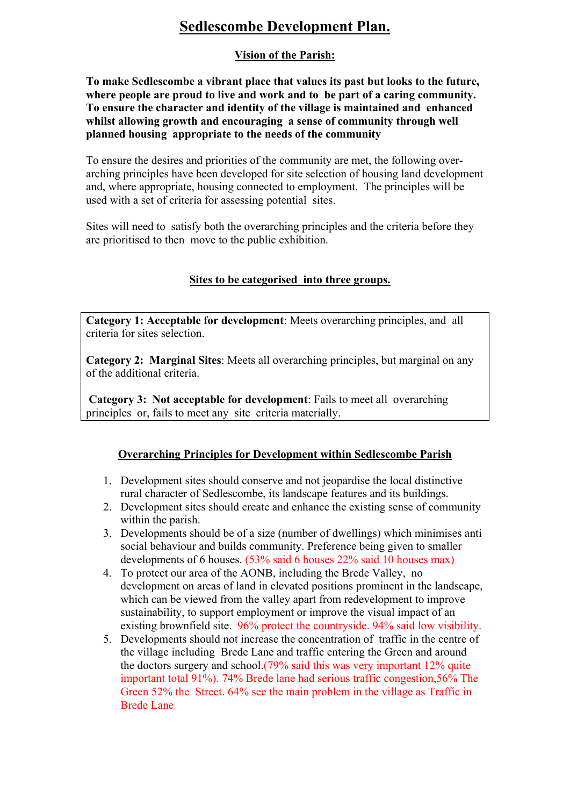# **Sedlescombe Development Plan.**

## **Vision of the Parish:**

**To make Sedlescombe a vibrant place that values its past but looks to the future, where people are proud to live and work and to be part of a caring community. To ensure the character and identity of the village is maintained and enhanced whilst allowing growth and encouraging a sense of community through well planned housing appropriate to the needs of the community** 

To ensure the desires and priorities of the community are met, the following overarching principles have been developed for site selection of housing land development and, where appropriate, housing connected to employment. The principles will be used with a set of criteria for assessing potential sites.

Sites will need to satisfy both the overarching principles and the criteria before they are prioritised to then move to the public exhibition.

### **Sites to be categorised into three groups.**

**Category 1: Acceptable for development**: Meets overarching principles, and all criteria for sites selection.

**Category 2: Marginal Sites**: Meets all overarching principles, but marginal on any of the additional criteria.

**Category 3: Not acceptable for development**: Fails to meet all overarching principles or, fails to meet any site criteria materially.

### **Overarching Principles for Development within Sedlescombe Parish**

- 1. Development sites should conserve and not jeopardise the local distinctive rural character of Sedlescombe, its landscape features and its buildings.
- 2. Development sites should create and enhance the existing sense of community within the parish.
- 3. Developments should be of a size (number of dwellings) which minimises anti social behaviour and builds community. Preference being given to smaller developments of 6 houses. (53% said 6 houses 22% said 10 houses max)
- 4. To protect our area of the AONB, including the Brede Valley, no development on areas of land in elevated positions prominent in the landscape, which can be viewed from the valley apart from redevelopment to improve sustainability, to support employment or improve the visual impact of an existing brownfield site. 96% protect the countryside. 94% said low visibility.
- 5. Developments should not increase the concentration of traffic in the centre of the village including Brede Lane and traffic entering the Green and around the doctors surgery and school.(79% said this was very important 12% quite important total 91%). 74% Brede lane had serious traffic congestion,56% The Green 52% the Street. 64% see the main problem in the village as Traffic in Brede Lane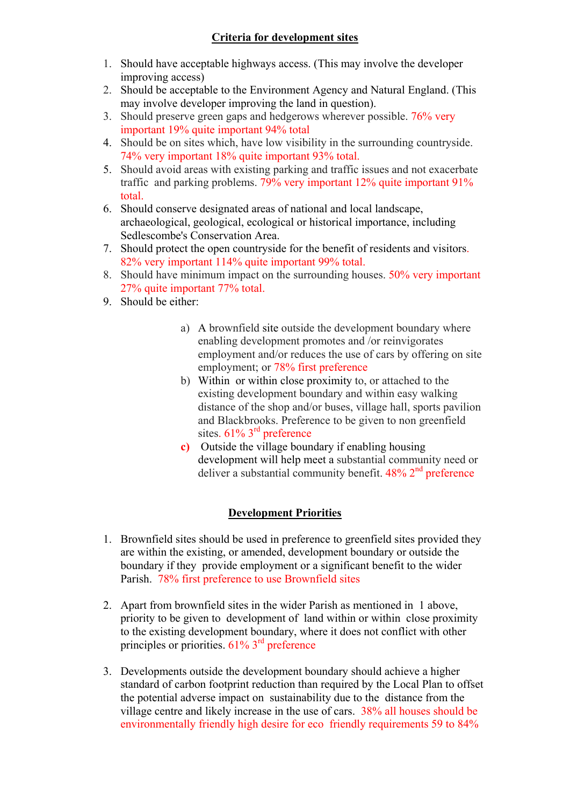## **Criteria for development sites**

- 1. Should have acceptable highways access. (This may involve the developer improving access)
- 2. Should be acceptable to the Environment Agency and Natural England. (This may involve developer improving the land in question).
- 3. Should preserve green gaps and hedgerows wherever possible. 76% very important 19% quite important 94% total
- 4. Should be on sites which, have low visibility in the surrounding countryside. 74% very important 18% quite important 93% total.
- 5. Should avoid areas with existing parking and traffic issues and not exacerbate traffic and parking problems. 79% very important 12% quite important 91% total.
- 6. Should conserve designated areas of national and local landscape, archaeological, geological, ecological or historical importance, including Sedlescombe's Conservation Area.
- 7. Should protect the open countryside for the benefit of residents and visitors. 82% very important 114% quite important 99% total.
- 8. Should have minimum impact on the surrounding houses. 50% very important 27% quite important 77% total.
- 9. Should be either:
	- a) A brownfield site outside the development boundary where enabling development promotes and /or reinvigorates employment and/or reduces the use of cars by offering on site employment; or 78% first preference
	- b) Within or within close proximity to, or attached to the existing development boundary and within easy walking distance of the shop and/or buses, village hall, sports pavilion and Blackbrooks. Preference to be given to non greenfield sites. 61% 3<sup>rd</sup> preference
	- **c)** Outside the village boundary if enabling housing development will help meet a substantial community need or deliver a substantial community benefit.  $48\%$   $2<sup>nd</sup>$  preference

### **Development Priorities**

- 1. Brownfield sites should be used in preference to greenfield sites provided they are within the existing, or amended, development boundary or outside the boundary if they provide employment or a significant benefit to the wider Parish. 78% first preference to use Brownfield sites
- 2. Apart from brownfield sites in the wider Parish as mentioned in 1 above, priority to be given to development of land within or within close proximity to the existing development boundary, where it does not conflict with other principles or priorities. 61% 3<sup>rd</sup> preference
- 3. Developments outside the development boundary should achieve a higher standard of carbon footprint reduction than required by the Local Plan to offset the potential adverse impact on sustainability due to the distance from the village centre and likely increase in the use of cars. 38% all houses should be environmentally friendly high desire for eco friendly requirements 59 to 84%